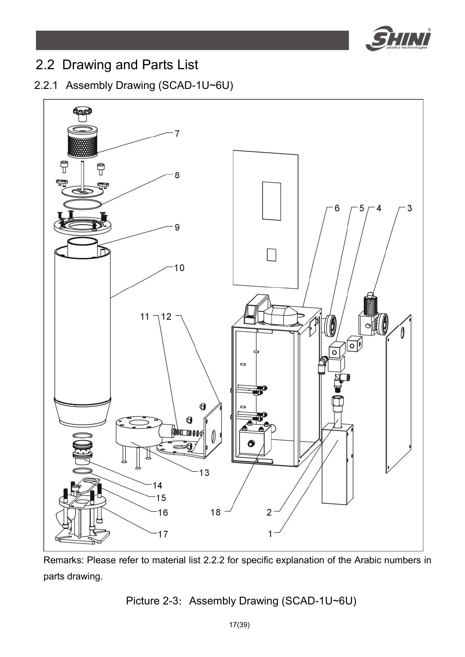

# 2.2 Drawing and Parts List

### 2.2.1 Assembly Drawing (SCAD-1U~6U)



Remarks: Please refer to material list 2.2.2 for specific explanation of the Arabic numbers in parts drawing.

## Picture 2-3: Assembly Drawing (SCAD-1U~6U)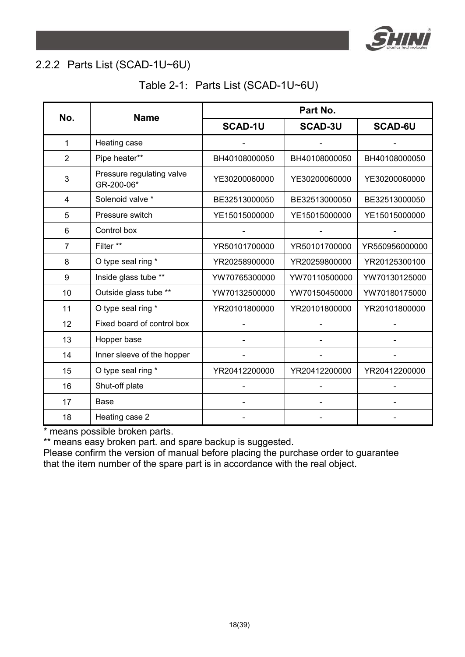

#### 2.2.2 Parts List (SCAD-1U~6U)

|  |  | Table 2-1: Parts List (SCAD-1U~6U) |
|--|--|------------------------------------|
|--|--|------------------------------------|

| No.            | <b>Name</b>                             | Part No.       |                |                |  |
|----------------|-----------------------------------------|----------------|----------------|----------------|--|
|                |                                         | <b>SCAD-1U</b> | <b>SCAD-3U</b> | <b>SCAD-6U</b> |  |
| 1              | Heating case                            |                |                |                |  |
| $\overline{2}$ | Pipe heater**                           | BH40108000050  | BH40108000050  | BH40108000050  |  |
| 3              | Pressure regulating valve<br>GR-200-06* | YE30200060000  | YE30200060000  | YE30200060000  |  |
| 4              | Solenoid valve *                        | BE32513000050  | BE32513000050  | BE32513000050  |  |
| 5              | Pressure switch                         | YE15015000000  | YE15015000000  | YE15015000000  |  |
| 6              | Control box                             |                |                |                |  |
| 7              | Filter **                               | YR50101700000  | YR50101700000  | YR550956000000 |  |
| 8              | O type seal ring *                      | YR20258900000  | YR20259800000  | YR20125300100  |  |
| 9              | Inside glass tube **                    | YW70765300000  | YW70110500000  | YW70130125000  |  |
| 10             | Outside glass tube **                   | YW70132500000  | YW70150450000  | YW70180175000  |  |
| 11             | O type seal ring *                      | YR20101800000  | YR20101800000  | YR20101800000  |  |
| 12             | Fixed board of control box              |                |                |                |  |
| 13             | Hopper base                             |                |                |                |  |
| 14             | Inner sleeve of the hopper              |                |                |                |  |
| 15             | O type seal ring *                      | YR20412200000  | YR20412200000  | YR20412200000  |  |
| 16             | Shut-off plate                          |                |                |                |  |
| 17             | Base                                    |                |                |                |  |
| 18             | Heating case 2                          |                |                |                |  |

\* means possible broken parts.

\*\* means easy broken part. and spare backup is suggested.

Please confirm the version of manual before placing the purchase order to guarantee that the item number of the spare part is in accordance with the real object.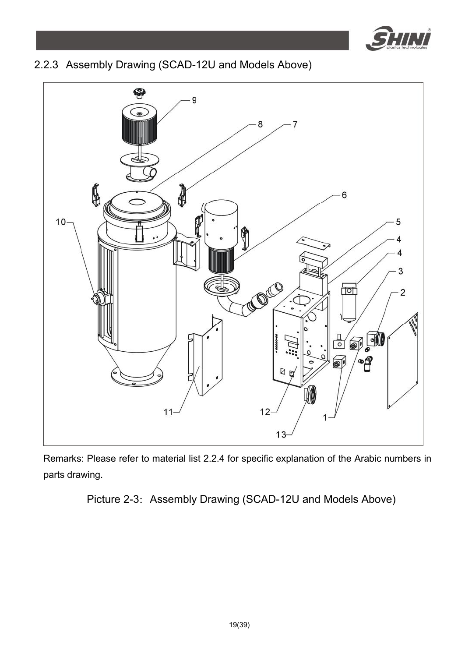

## 2.2.3 Assembly Drawing (SCAD-12U and Models Above)



Remarks: Please refer to material list 2.2.4 for specific explanation of the Arabic numbers in parts drawing.

Picture 2-3: Assembly Drawing (SCAD-12U and Models Above)